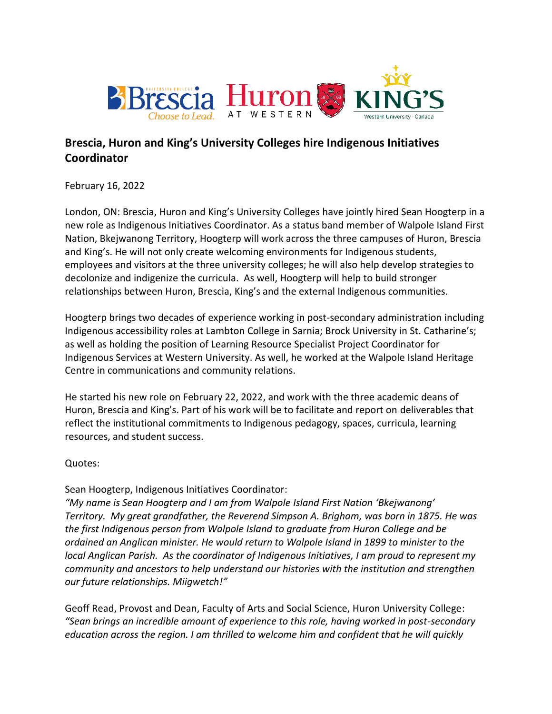

# **Brescia, Huron and King's University Colleges hire Indigenous Initiatives Coordinator**

February 16, 2022

London, ON: Brescia, Huron and King's University Colleges have jointly hired Sean Hoogterp in a new role as Indigenous Initiatives Coordinator. As a status band member of Walpole Island First Nation, Bkejwanong Territory, Hoogterp will work across the three campuses of Huron, Brescia and King's. He will not only create welcoming environments for Indigenous students, employees and visitors at the three university colleges; he will also help develop strategies to decolonize and indigenize the curricula. As well, Hoogterp will help to build stronger relationships between Huron, Brescia, King's and the external Indigenous communities.

Hoogterp brings two decades of experience working in post-secondary administration including Indigenous accessibility roles at Lambton College in Sarnia; Brock University in St. Catharine's; as well as holding the position of Learning Resource Specialist Project Coordinator for Indigenous Services at Western University. As well, he worked at the Walpole Island Heritage Centre in communications and community relations.

He started his new role on February 22, 2022, and work with the three academic deans of Huron, Brescia and King's. Part of his work will be to facilitate and report on deliverables that reflect the institutional commitments to Indigenous pedagogy, spaces, curricula, learning resources, and student success.

Quotes:

Sean Hoogterp, Indigenous Initiatives Coordinator:

*"My name is Sean Hoogterp and I am from Walpole Island First Nation 'Bkejwanong' Territory. My great grandfather, the Reverend Simpson A. Brigham, was born in 1875. He was the first Indigenous person from Walpole Island to graduate from Huron College and be ordained an Anglican minister. He would return to Walpole Island in 1899 to minister to the local Anglican Parish. As the coordinator of Indigenous Initiatives, I am proud to represent my community and ancestors to help understand our histories with the institution and strengthen our future relationships. Miigwetch!"*

Geoff Read, Provost and Dean, Faculty of Arts and Social Science, Huron University College: *"Sean brings an incredible amount of experience to this role, having worked in post-secondary education across the region. I am thrilled to welcome him and confident that he will quickly*